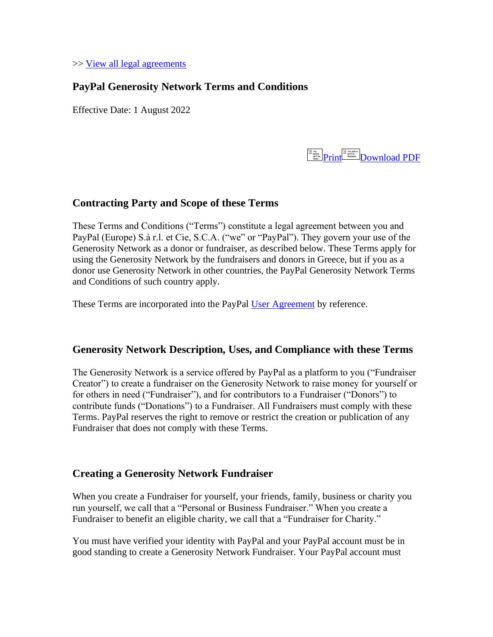>> [View all legal agreements](https://www.paypal.com/gr/webapps/mpp/ua/legalhub-full?locale.x=en_gr)

## **PayPal Generosity Network Terms and Conditions**

Effective Date: 1 August 2022



# **Contracting Party and Scope of these Terms**

These Terms and Conditions ("Terms") constitute a legal agreement between you and PayPal (Europe) S.à r.l. et Cie, S.C.A. ("we" or "PayPal"). They govern your use of the Generosity Network as a donor or fundraiser, as described below. These Terms apply for using the Generosity Network by the fundraisers and donors in Greece, but if you as a donor use Generosity Network in other countries, the PayPal Generosity Network Terms and Conditions of such country apply.

These Terms are incorporated into the PayPal [User Agreement](https://www.paypal.com/gr/webapps/mpp/ua/useragreement-full?locale.x=en_gr) by reference.

### **Generosity Network Description, Uses, and Compliance with these Terms**

The Generosity Network is a service offered by PayPal as a platform to you ("Fundraiser Creator") to create a fundraiser on the Generosity Network to raise money for yourself or for others in need ("Fundraiser"), and for contributors to a Fundraiser ("Donors") to contribute funds ("Donations") to a Fundraiser. All Fundraisers must comply with these Terms. PayPal reserves the right to remove or restrict the creation or publication of any Fundraiser that does not comply with these Terms.

### **Creating a Generosity Network Fundraiser**

When you create a Fundraiser for yourself, your friends, family, business or charity you run yourself, we call that a "Personal or Business Fundraiser." When you create a Fundraiser to benefit an eligible charity, we call that a "Fundraiser for Charity."

You must have verified your identity with PayPal and your PayPal account must be in good standing to create a Generosity Network Fundraiser. Your PayPal account must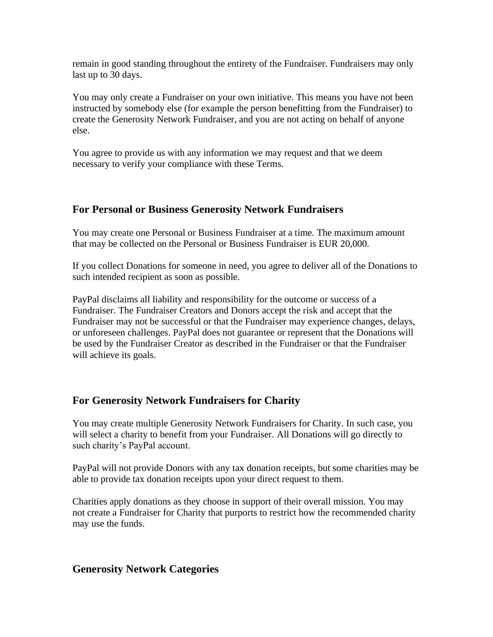remain in good standing throughout the entirety of the Fundraiser. Fundraisers may only last up to 30 days.

You may only create a Fundraiser on your own initiative. This means you have not been instructed by somebody else (for example the person benefitting from the Fundraiser) to create the Generosity Network Fundraiser, and you are not acting on behalf of anyone else.

You agree to provide us with any information we may request and that we deem necessary to verify your compliance with these Terms.

## **For Personal or Business Generosity Network Fundraisers**

You may create one Personal or Business Fundraiser at a time. The maximum amount that may be collected on the Personal or Business Fundraiser is EUR 20,000.

If you collect Donations for someone in need, you agree to deliver all of the Donations to such intended recipient as soon as possible.

PayPal disclaims all liability and responsibility for the outcome or success of a Fundraiser. The Fundraiser Creators and Donors accept the risk and accept that the Fundraiser may not be successful or that the Fundraiser may experience changes, delays, or unforeseen challenges. PayPal does not guarantee or represent that the Donations will be used by the Fundraiser Creator as described in the Fundraiser or that the Fundraiser will achieve its goals.

## **For Generosity Network Fundraisers for Charity**

You may create multiple Generosity Network Fundraisers for Charity. In such case, you will select a charity to benefit from your Fundraiser. All Donations will go directly to such charity's PayPal account.

PayPal will not provide Donors with any tax donation receipts, but some charities may be able to provide tax donation receipts upon your direct request to them.

Charities apply donations as they choose in support of their overall mission. You may not create a Fundraiser for Charity that purports to restrict how the recommended charity may use the funds.

## **Generosity Network Categories**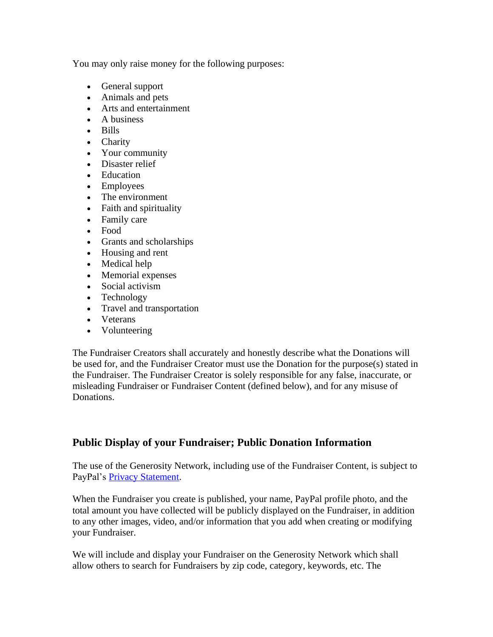You may only raise money for the following purposes:

- General support
- Animals and pets
- Arts and entertainment
- A business
- Bills
- Charity
- Your community
- Disaster relief
- Education
- Employees
- The environment
- Faith and spirituality
- Family care
- Food
- Grants and scholarships
- Housing and rent
- Medical help
- Memorial expenses
- Social activism
- Technology
- Travel and transportation
- Veterans
- Volunteering

The Fundraiser Creators shall accurately and honestly describe what the Donations will be used for, and the Fundraiser Creator must use the Donation for the purpose(s) stated in the Fundraiser. The Fundraiser Creator is solely responsible for any false, inaccurate, or misleading Fundraiser or Fundraiser Content (defined below), and for any misuse of Donations.

# **Public Display of your Fundraiser; Public Donation Information**

The use of the Generosity Network, including use of the Fundraiser Content, is subject to PayPal's [Privacy Statement.](https://www.paypal.com/gr/webapps/mpp/ua/privacy-full?locale.x=en_gr)

When the Fundraiser you create is published, your name, PayPal profile photo, and the total amount you have collected will be publicly displayed on the Fundraiser, in addition to any other images, video, and/or information that you add when creating or modifying your Fundraiser.

We will include and display your Fundraiser on the Generosity Network which shall allow others to search for Fundraisers by zip code, category, keywords, etc. The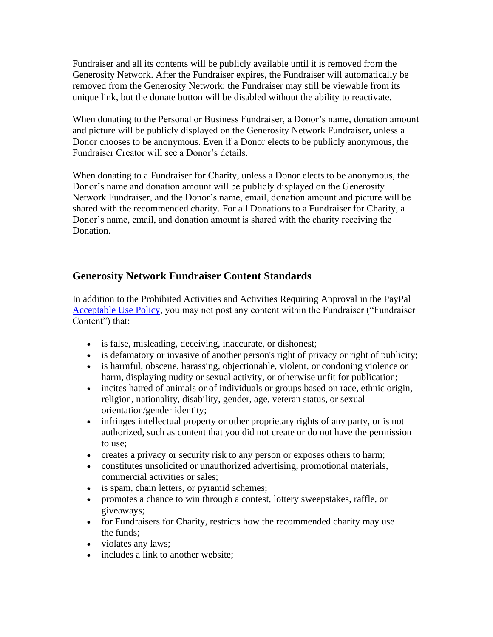Fundraiser and all its contents will be publicly available until it is removed from the Generosity Network. After the Fundraiser expires, the Fundraiser will automatically be removed from the Generosity Network; the Fundraiser may still be viewable from its unique link, but the donate button will be disabled without the ability to reactivate.

When donating to the Personal or Business Fundraiser, a Donor's name, donation amount and picture will be publicly displayed on the Generosity Network Fundraiser, unless a Donor chooses to be anonymous. Even if a Donor elects to be publicly anonymous, the Fundraiser Creator will see a Donor's details.

When donating to a Fundraiser for Charity, unless a Donor elects to be anonymous, the Donor's name and donation amount will be publicly displayed on the Generosity Network Fundraiser, and the Donor's name, email, donation amount and picture will be shared with the recommended charity. For all Donations to a Fundraiser for Charity, a Donor's name, email, and donation amount is shared with the charity receiving the Donation.

# **Generosity Network Fundraiser Content Standards**

In addition to the Prohibited Activities and Activities Requiring Approval in the PayPal [Acceptable Use Policy,](https://www.paypal.com/gr/webapps/mpp/ua/acceptableuse-full?locale.x=en_gr) you may not post any content within the Fundraiser ("Fundraiser Content") that:

- is false, misleading, deceiving, inaccurate, or dishonest;
- is defamatory or invasive of another person's right of privacy or right of publicity;
- is harmful, obscene, harassing, objectionable, violent, or condoning violence or harm, displaying nudity or sexual activity, or otherwise unfit for publication;
- incites hatred of animals or of individuals or groups based on race, ethnic origin, religion, nationality, disability, gender, age, veteran status, or sexual orientation/gender identity;
- infringes intellectual property or other proprietary rights of any party, or is not authorized, such as content that you did not create or do not have the permission to use;
- creates a privacy or security risk to any person or exposes others to harm;
- constitutes unsolicited or unauthorized advertising, promotional materials, commercial activities or sales;
- is spam, chain letters, or pyramid schemes;
- promotes a chance to win through a contest, lottery sweepstakes, raffle, or giveaways;
- for Fundraisers for Charity, restricts how the recommended charity may use the funds;
- violates any laws;
- includes a link to another website;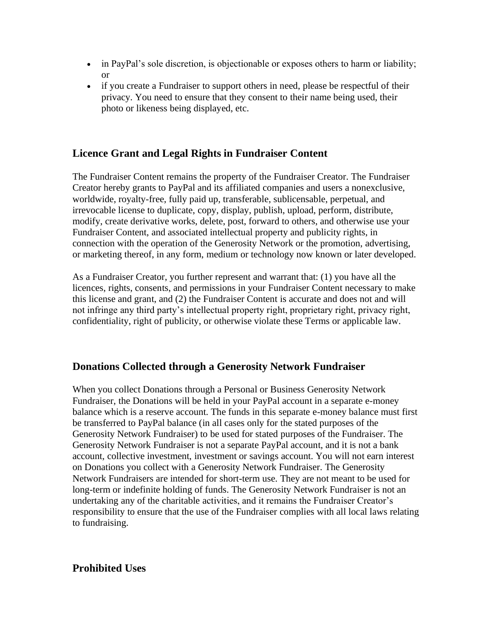- in PayPal's sole discretion, is objectionable or exposes others to harm or liability; or
- if you create a Fundraiser to support others in need, please be respectful of their privacy. You need to ensure that they consent to their name being used, their photo or likeness being displayed, etc.

### **Licence Grant and Legal Rights in Fundraiser Content**

The Fundraiser Content remains the property of the Fundraiser Creator. The Fundraiser Creator hereby grants to PayPal and its affiliated companies and users a nonexclusive, worldwide, royalty-free, fully paid up, transferable, sublicensable, perpetual, and irrevocable license to duplicate, copy, display, publish, upload, perform, distribute, modify, create derivative works, delete, post, forward to others, and otherwise use your Fundraiser Content, and associated intellectual property and publicity rights, in connection with the operation of the Generosity Network or the promotion, advertising, or marketing thereof, in any form, medium or technology now known or later developed.

As a Fundraiser Creator, you further represent and warrant that: (1) you have all the licences, rights, consents, and permissions in your Fundraiser Content necessary to make this license and grant, and (2) the Fundraiser Content is accurate and does not and will not infringe any third party's intellectual property right, proprietary right, privacy right, confidentiality, right of publicity, or otherwise violate these Terms or applicable law.

### **Donations Collected through a Generosity Network Fundraiser**

When you collect Donations through a Personal or Business Generosity Network Fundraiser, the Donations will be held in your PayPal account in a separate e-money balance which is a reserve account. The funds in this separate e-money balance must first be transferred to PayPal balance (in all cases only for the stated purposes of the Generosity Network Fundraiser) to be used for stated purposes of the Fundraiser. The Generosity Network Fundraiser is not a separate PayPal account, and it is not a bank account, collective investment, investment or savings account. You will not earn interest on Donations you collect with a Generosity Network Fundraiser. The Generosity Network Fundraisers are intended for short-term use. They are not meant to be used for long-term or indefinite holding of funds. The Generosity Network Fundraiser is not an undertaking any of the charitable activities, and it remains the Fundraiser Creator's responsibility to ensure that the use of the Fundraiser complies with all local laws relating to fundraising.

### **Prohibited Uses**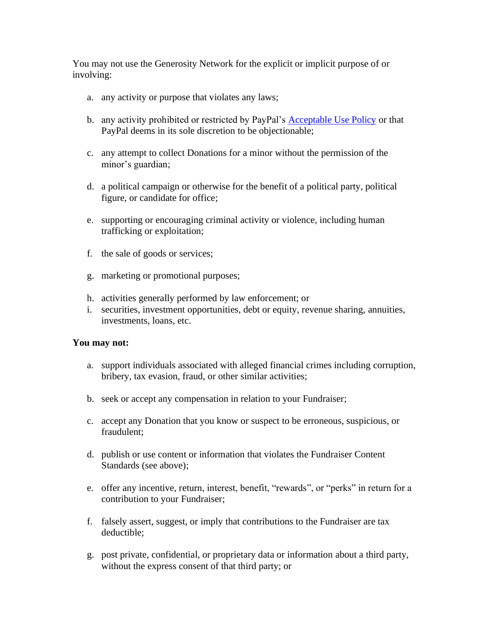You may not use the Generosity Network for the explicit or implicit purpose of or involving:

- a. any activity or purpose that violates any laws;
- b. any activity prohibited or restricted by PayPal's [Acceptable Use Policy](https://www.paypal.com/gr/webapps/mpp/ua/acceptableuse-full?locale.x=en_gr) or that PayPal deems in its sole discretion to be objectionable;
- c. any attempt to collect Donations for a minor without the permission of the minor's guardian;
- d. a political campaign or otherwise for the benefit of a political party, political figure, or candidate for office;
- e. supporting or encouraging criminal activity or violence, including human trafficking or exploitation;
- f. the sale of goods or services;
- g. marketing or promotional purposes;
- h. activities generally performed by law enforcement; or
- i. securities, investment opportunities, debt or equity, revenue sharing, annuities, investments, loans, etc.

#### **You may not:**

- a. support individuals associated with alleged financial crimes including corruption, bribery, tax evasion, fraud, or other similar activities;
- b. seek or accept any compensation in relation to your Fundraiser;
- c. accept any Donation that you know or suspect to be erroneous, suspicious, or fraudulent;
- d. publish or use content or information that violates the Fundraiser Content Standards (see above);
- e. offer any incentive, return, interest, benefit, "rewards", or "perks" in return for a contribution to your Fundraiser;
- f. falsely assert, suggest, or imply that contributions to the Fundraiser are tax deductible;
- g. post private, confidential, or proprietary data or information about a third party, without the express consent of that third party; or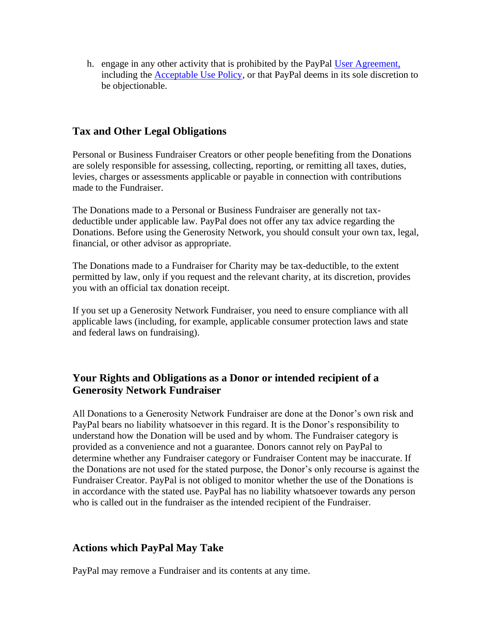h. engage in any other activity that is prohibited by the PayPal [User Agreement,](https://www.paypal.com/gr/webapps/mpp/ua/useragreement-full?locale.x=en_gr) including the [Acceptable Use Policy,](https://www.paypal.com/gr/webapps/mpp/ua/acceptableuse-full?locale.x=en_gr) or that PayPal deems in its sole discretion to be objectionable.

## **Tax and Other Legal Obligations**

Personal or Business Fundraiser Creators or other people benefiting from the Donations are solely responsible for assessing, collecting, reporting, or remitting all taxes, duties, levies, charges or assessments applicable or payable in connection with contributions made to the Fundraiser.

The Donations made to a Personal or Business Fundraiser are generally not taxdeductible under applicable law. PayPal does not offer any tax advice regarding the Donations. Before using the Generosity Network, you should consult your own tax, legal, financial, or other advisor as appropriate.

The Donations made to a Fundraiser for Charity may be tax-deductible, to the extent permitted by law, only if you request and the relevant charity, at its discretion, provides you with an official tax donation receipt.

If you set up a Generosity Network Fundraiser, you need to ensure compliance with all applicable laws (including, for example, applicable consumer protection laws and state and federal laws on fundraising).

# **Your Rights and Obligations as a Donor or intended recipient of a Generosity Network Fundraiser**

All Donations to a Generosity Network Fundraiser are done at the Donor's own risk and PayPal bears no liability whatsoever in this regard. It is the Donor's responsibility to understand how the Donation will be used and by whom. The Fundraiser category is provided as a convenience and not a guarantee. Donors cannot rely on PayPal to determine whether any Fundraiser category or Fundraiser Content may be inaccurate. If the Donations are not used for the stated purpose, the Donor's only recourse is against the Fundraiser Creator. PayPal is not obliged to monitor whether the use of the Donations is in accordance with the stated use. PayPal has no liability whatsoever towards any person who is called out in the fundraiser as the intended recipient of the Fundraiser.

# **Actions which PayPal May Take**

PayPal may remove a Fundraiser and its contents at any time.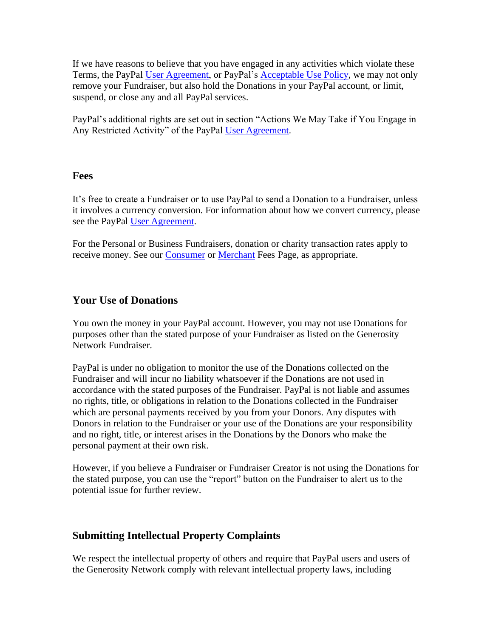If we have reasons to believe that you have engaged in any activities which violate these Terms, the PayPal [User Agreement,](https://www.paypal.com/gr/webapps/mpp/ua/useragreement-full?locale.x=en_gr) or PayPal's [Acceptable Use Policy,](https://www.paypal.com/gr/webapps/mpp/ua/acceptableuse-full?locale.x=en_gr) we may not only remove your Fundraiser, but also hold the Donations in your PayPal account, or limit, suspend, or close any and all PayPal services.

PayPal's additional rights are set out in section "Actions We May Take if You Engage in Any Restricted Activity" of the PayPal [User Agreement.](https://www.paypal.com/gr/webapps/mpp/ua/useragreement-full?locale.x=en_gr)

#### **Fees**

It's free to create a Fundraiser or to use PayPal to send a Donation to a Fundraiser, unless it involves a currency conversion. For information about how we convert currency, please see the PayPal [User Agreement.](https://www.paypal.com/gr/webapps/mpp/ua/useragreement-full?locale.x=en_gr)

For the Personal or Business Fundraisers, donation or charity transaction rates apply to receive money. See our [Consumer](https://www.paypal.com/gr/webapps/mpp/ua/useragreement-full?locale.x=en_gr#tableOfFees1) or [Merchant](https://www.paypal.com/gr/webapps/mpp/ua/useragreement-full?locale.x=en_gr#tableOfFees1) Fees Page, as appropriate.

### **Your Use of Donations**

You own the money in your PayPal account. However, you may not use Donations for purposes other than the stated purpose of your Fundraiser as listed on the Generosity Network Fundraiser.

PayPal is under no obligation to monitor the use of the Donations collected on the Fundraiser and will incur no liability whatsoever if the Donations are not used in accordance with the stated purposes of the Fundraiser. PayPal is not liable and assumes no rights, title, or obligations in relation to the Donations collected in the Fundraiser which are personal payments received by you from your Donors. Any disputes with Donors in relation to the Fundraiser or your use of the Donations are your responsibility and no right, title, or interest arises in the Donations by the Donors who make the personal payment at their own risk.

However, if you believe a Fundraiser or Fundraiser Creator is not using the Donations for the stated purpose, you can use the "report" button on the Fundraiser to alert us to the potential issue for further review.

## **Submitting Intellectual Property Complaints**

We respect the intellectual property of others and require that PayPal users and users of the Generosity Network comply with relevant intellectual property laws, including